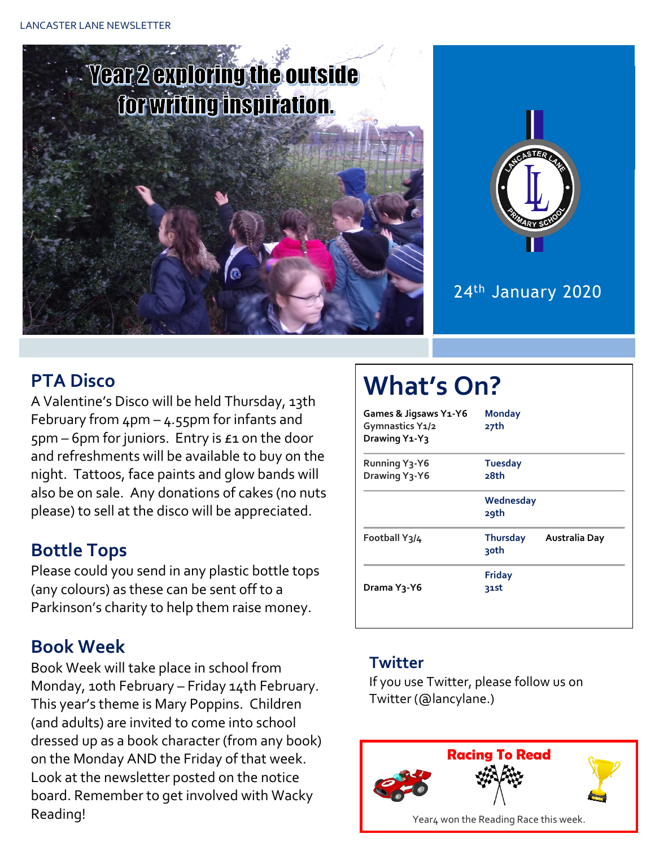# **Year 2 exploring the outside** for writing inspiration.



#### 24th January 2020

#### **PTA Disco**

A Valentine's Disco will be held Thursday, 13th February from 4pm – 4.55pm for infants and 5pm – 6pm for juniors. Entry is £1 on the door and refreshments will be available to buy on the night. Tattoos, face paints and glow bands will also be on sale. Any donations of cakes (no nuts please) to sell at the disco will be appreciated.

#### **Bottle Tops**

Please could you send in any plastic bottle tops (any colours) as these can be sent off to a Parkinson's charity to help them raise money.

#### **Book Week**

Book Week will take place in school from Monday, 10th February – Friday 14th February. This year's theme is Mary Poppins. Children (and adults) are invited to come into school dressed up as a book character (from any book) on the Monday AND the Friday of that week. Look at the newsletter posted on the notice board. Remember to get involved with Wacky Reading!

## **What's On?**

| Games & Jigsaws Y1-Y6<br>Gymnastics Y1/2<br>Drawing Y <sub>1</sub> -Y <sub>3</sub> | <b>Monday</b><br>27th   |               |  |  |  |
|------------------------------------------------------------------------------------|-------------------------|---------------|--|--|--|
| <b>Running Y3-Y6</b><br>Drawing Y3-Y6                                              | <b>Tuesday</b><br>28th  |               |  |  |  |
|                                                                                    | Wednesday<br>29th       |               |  |  |  |
| Football Y3/4                                                                      | Thursday<br><b>30th</b> | Australia Day |  |  |  |
| Drama Y <sub>3</sub> -Y6                                                           | <b>Friday</b><br>31st   |               |  |  |  |

#### **Twitter**

If you use Twitter, please follow us on Twitter (@lancylane.)

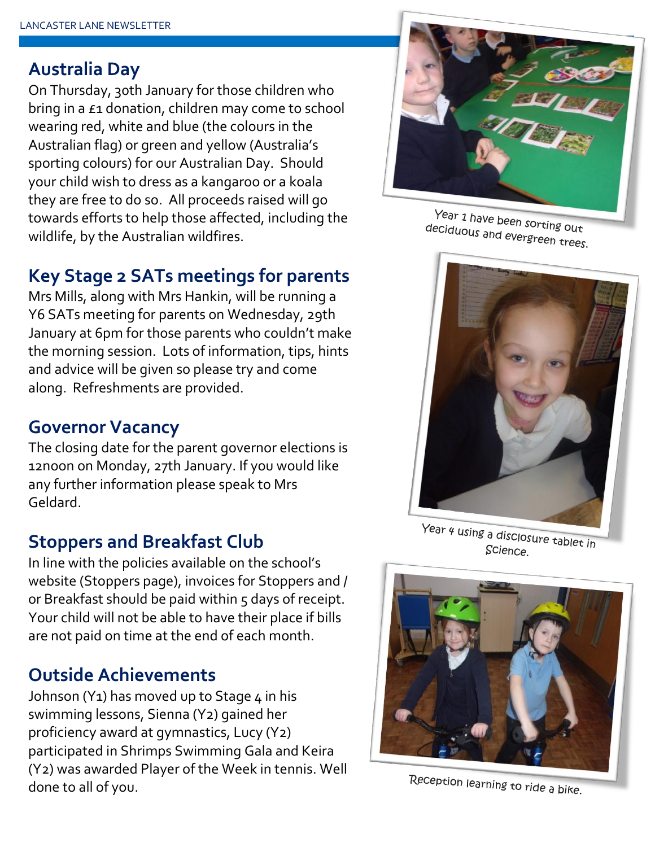#### **Australia Day**

On Thursday, 30th January for those children who bring in a £1 donation, children may come to school wearing red, white and blue (the colours in the Australian flag) or green and yellow (Australia's sporting colours) for our Australian Day. Should your child wish to dress as a kangaroo or a koala they are free to do so. All proceeds raised will go towards efforts to help those affected, including the wildlife, by the Australian wildfires.

#### **Key Stage 2 SATs meetings for parents**

Mrs Mills, along with Mrs Hankin, will be running a Y6 SATs meeting for parents on Wednesday, 29th January at 6pm for those parents who couldn't make the morning session. Lots of information, tips, hints and advice will be given so please try and come along. Refreshments are provided.

### **Governor Vacancy**

The closing date for the parent governor elections is 12noon on Monday, 27th January. If you would like any further information please speak to Mrs Geldard.

### **Stoppers and Breakfast Club**

In line with the policies available on the school's website (Stoppers page), invoices for Stoppers and / or Breakfast should be paid within 5 days of receipt. Your child will not be able to have their place if bills are not paid on time at the end of each month.

### **Outside Achievements**

Johnson (Y<sub>1</sub>) has moved up to Stage  $4$  in his swimming lessons, Sienna (Y2) gained her proficiency award at gymnastics, Lucy (Y2) participated in Shrimps Swimming Gala and Keira (Y2) was awarded Player of the Week in tennis. Well done to all of you.



Year 1 have been sorting out deciduous and evergreen trees.



Year 4 using a disclosure tablet in Science.



Reception learning to ride a bike.